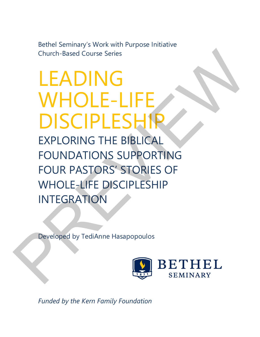Bethel Seminary's Work with Purpose Initiative Church-Based Course Series

# LEADING WHOLE-LIFE DISCIPLESHIP

EXPLORING THE BIBLICAL FOUNDATIONS SUPPORTING FOUR PASTORS' STORIES OF WHOLE-LIFE DISCIPLESHIP INTEGRATION Church-Based Course Series<br>
LEADING<br>
WHOLE-LIFE<br>
DISCIPLESHIP<br>
EXPLORING THE BIBLICAL<br>
FOUNDATIONS SUPPORTING<br>
FOUR PASTORS' STORIES OF<br>
WHOLE-LIFE DISCIPLESHIP<br>
INTEGRATION<br>
NITEGRATION<br>
Peveloped by TediAnne Hasapopoulos

Developed by TediAnne Hasapopoulos



*Funded by the Kern Family Foundation*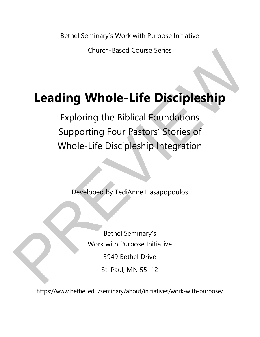Bethel Seminary's Work with Purpose Initiative

Church-Based Course Series

# **Leading Whole-Life Discipleship**

Exploring the Biblical Foundations Supporting Four Pastors' Stories of Whole-Life Discipleship Integration Church-Based Course Series<br>
Leading Whole-Life Discipleship<br>
Exploring the Biblical Foundations<br>
Supporting Four Pastors' Stories of<br>
Whole-Life Discipleship Integration<br>
Developed by TediAnne Hasapopoulos<br>
Rethel Seminary

Developed by TediAnne Hasapopoulos

Bethel Seminary's Work with Purpose Initiative 3949 Bethel Drive St. Paul, MN 55112

https://www.bethel.edu/seminary/about/initiatives/work-with-purpose/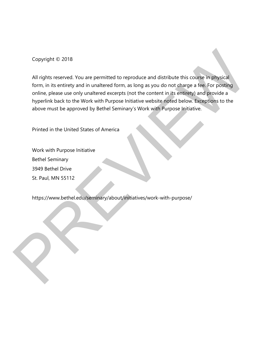Copyright © 2018

All rights reserved. You are permitted to reproduce and distribute this course in physical form, in its entirety and in unaltered form, as long as you do not charge a fee. For posting online, please use only unaltered excerpts (not the content in its entirety) and provide a hyperlink back to the Work with Purpose Initiative website noted below. Exceptions to the above must be approved by Bethel Seminary's Work with Purpose Initiative. Copyright © 2018<br>
All rights reserved. You are permitted to reproduce and distribute this consering hysical<br>
form, inis entirety and in unaltered form, as long as you do not charge a fee. For positing<br>
online, please use o

Printed in the United States of America

Work with Purpose Initiative Bethel Seminary 3949 Bethel Drive St. Paul, MN 55112

https://www.bethel.edu/seminary/about/initiatives/work-with-purpose/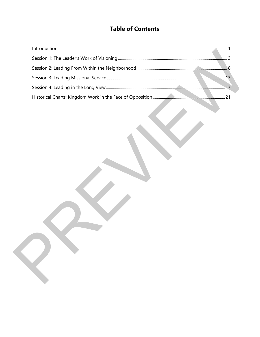# **Table of Contents**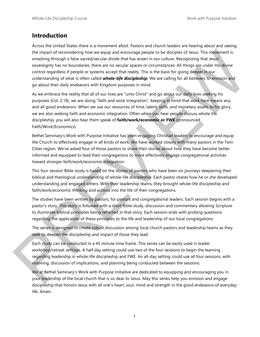#### **Introduction**

Across the United States there is a movement afoot. Pastors and church leaders are hearing about and seeing the impact of reconsidering how we equip and encourage people to be disciples of Jesus. This movement is smashing through a false sacred/secular divide that has arisen in our culture. Recognizing that Jesus' sovereignty has no boundaries, there are no secular spaces or circumstances. All things are under His divine control regardless if people or systems accept that reality. This is the basis for going deeper in our understanding of what is often called *whole-life discipleship*. We are calling for all believers to envision and go about their daily endeavors with Kingdom purposes in mind. the impact of economic strength to be economic probability that impact a probability that impact a properties a strength of the original probability and the strength of the original probability that in the content of the s

As we embrace the reality that all of our lives are "unto Christ" and go about our daily lives seeking his purposes (Col. 2:18), we are doing "faith and work integration", keeping in mind that work here means any, and all good endeavors. When we use our resources of time, talent, skills, and monetary assets to his glory, we are also seeking faith and economic integration. Often when you hear people discuss whole-life discipleship, you will also hear them speak of **faith/work/economic or FWE** (pronounced Faith/Work/Economics).

Bethel Seminary's Work with Purpose Initiative has been engaging Christian leaders to encourage and equip the Church to effectively engage in all kinds of work. We have worked closely with many pastors in the Twin Cities region. We've asked four of those pastors to share their stories about how they have become better informed and equipped to lead their congregations to more effectively engage congregational activities toward stronger faith/work/economic integration.

This four session Bible study is based on the stories of pastors who have been on journeys deepening their biblical and theological understanding of whole-life discipleship. Each pastor shares how he or she developed understanding and engaged others. With their leadership teams, they brought whole-life discipleship and faith/work/economic thinking and actions into the life of their congregations.

The studies have been written by pastors, for pastors and congregational leaders. Each session begins with a pastor's story. This story is followed with a short Bible study, discussion and commentary allowing Scripture to illuminate biblical principles being reflected in that story. Each session ends with probing questions regarding the application of these principles to the life and leadership of our local congregations.

The series is designed to create robust discussion among local church pastors and leadership teams as they seek to deepen the discipleship and impact of those they lead.

Each study can be conducted in a 45 minute time frame. This series can be easily used in leader workshop/retreat settings. A half day setting could use two of the four sessions to begin the learning regarding leadership in whole-life discipleship and FWE. An all-day setting could use all four sessions, with visioning, discussion of implications, and planning being conducted between the sessions.

We at Bethel Seminary's Work with Purpose Initiative are dedicated to equipping and encouraging you in your leadership of the local church that is so dear to Jesus. May this series help you envision and engage discipleship that honors Jesus with all one's heart, soul, mind and strength in the good endeavors of everyday life. Amen.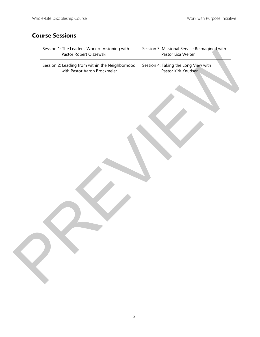# **Course Sessions**

| Session 1: The Leader's Work of Visioning with<br>Pastor Robert Olszewski       | Session 3: Missional Service Reimagined with<br>Pastor Lisa Welter |  |
|---------------------------------------------------------------------------------|--------------------------------------------------------------------|--|
| Session 2: Leading from within the Neighborhood<br>with Pastor Aaron Brockmeier | Session 4: Taking the Long View with<br>Pastor Kirk Knudsen        |  |
|                                                                                 |                                                                    |  |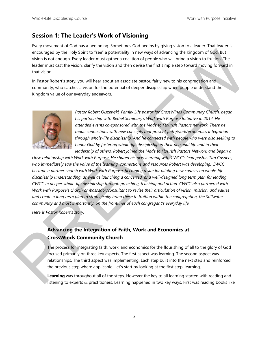### **Session 1: The Leader's Work of Visioning**

Every movement of God has a beginning. Sometimes God begins by giving vision to a leader. That leader is encouraged by the Holy Spirit to "see" a potentiality in new ways of advancing the Kingdom of God. But vision is not enough. Every leader must gather a coalition of people who will bring a vision to fruition. The leader must cast the vision, clarify the vision and then devise the first simple step toward moving forward in that vision.

In Pastor Robert's story, you will hear about an associate pastor, fairly new to his congregation and community, who catches a vision for the potential of deeper discipleship when people understand the Kingdom value of our everyday endeavors.



*Pastor Robert Olszewski, Family Life pastor for CrossWinds Community Church, began his partnership with Bethel Seminary's Work with Purpose Initiative in 2014. He attended events co-sponsored with the Made to Flourish Pastors network. There he made connections with new concepts that present faith/work/economics integration through whole-life discipleship. And he connected with people who were also seeking to honor God by fostering whole-life discipleship in their personal life and in their*  leadership of others. Robert joined the Made to Flourish Pastors Network and began a

*close relationship with Work with Purpose. He shared his new learning with CWCC's lead pastor, Tim Caspers, who immediately saw the value of the learning, connections and resources Robert was developing. CWCC became a partner church with Work with Purpose, becoming a site for piloting new courses on whole-life discipleship understanding, as well as launching a concerted, and well-designed long term plan for leading CWCC in deeper whole-life discipleship through preaching, teaching and action. CWCC also partnered with Work with Purpose's church ambassador/consultant to revise their articulation of vision, mission, and values and create a long term plan to strategically bring these to fruition within the congregation, the Stillwater community and most importantly, on the frontlines of each congregant's everyday life.*  efocusing day the Holy Spirit to See 2 a pointfully in here way of advancing the kinetic multiplate the station of Good But<br>the price procedure of the price of the station of the station of properties the station of Good H

*Here is Pastor Robert's story.* 

## **Advancing the Integration of Faith, Work and Economics at CrossWinds Community Church**

The process for integrating faith, work, and economics for the flourishing of all to the glory of God focused primarily on three key aspects. The first aspect was learning. The second aspect was relationships. The third aspect was implementing. Each step built into the next step and reinforced the previous step where applicable. Let's start by looking at the first step: learning.

**Learning** was throughout all of the steps. However the key to all learning started with reading and listening to experts & practitioners. Learning happened in two key ways. First was reading books like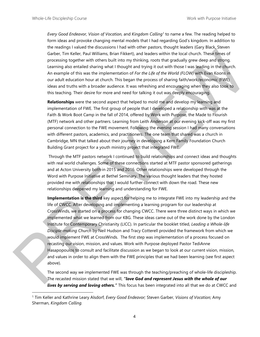.

*Every Good Endeavor, Vision of Vocation,* and *Kingdom Calling<sup>1</sup>* to name a few. The reading helped to form ideas and provoke changing mental models that I had regarding God's kingdom. In addition to the readings I valued the discussions I had with other pastors, thought leaders (Gary Black, Steven Garber, Tim Keller, Paul Williams, Brian Fikkert), and leaders within the local church. These times of processing together with others built into my thinking, roots that gradually grew deep and strong. Learning also entailed sharing what I thought and trying it out with those I was leading in the church. An example of this was the implementation of *For the Life of the World (FLOW)* with Evan Koons in our adult education hour at church. This began the process of sharing faith/work/economic (FWE) ideas and truths with a broader audience. It was refreshing and encouraging when they also took to this teaching. Their desire for more and need for talking it out was deeply encouraging.

**Relationships** were the second aspect that helped to mold me and develop my learning and implementation of FWE. The first group of people that I developed a relationship with was at the Faith & Work Boot Camp in the fall of 2014, offered by Work with Purpose, the Made to Flourish (MTF) network and other partners. Learning from Leith Anderson at our evening kick-off was my first personal connection to the FWE movement. Following the evening session I had many conversations with different pastors, academics, and practitioners. The one team that shared was a church in Cambridge, MN that talked about their journey in developing a Kern Family Foundation Church Building Grant project for a youth ministry project that integrated FWE.

 Through the MTF pastors network I continued to build relationships and connect ideas and thoughts with real world challenges. Some of these connections started at MTF pastor sponsored gatherings and at Acton University both in 2015 and 2016. Other relationships were developed through the Word with Purpose Initiative at Bethel Seminary. The various thought leaders that they hosted provided me with relationships that I would further connect with down the road. These new relationships deepened my learning and understanding for FWE.

**Implementation is the third** key aspect for helping me to integrate FWE into my leadership and the life of CWCC. After developing and implementing a learning program for our leadership at CrossWinds, we started on a process for changing CWCC. There were three distinct ways in which we implemented what we learned from our KBG. These ideas came out of the work done by the London Institute for Contemporary Christianity (LICC). In particular the booklet titled, *Leading a Whole-life Disciple-making Church* by Neil Hudson and Tracy Cotterell provided the framework from which we would implement FWE at CrossWinds. The first step was implementation of a process focused on recasting our vision, mission, and values. Work with Purpose deployed Pastor TediAnne Hasapopoulos to consult and facilitate discussion as we began to look at our current vision, mission, and values in order to align them with the FWE principles that we had been learning (see first aspect above). Gabet. The fields Paul Williams Brain Fident), and leases within the local countries and contents of the second with the second and the second and the second and the second and the second and the second and the second and

The second way we implemented FWE was through the teaching/preaching of whole-life discipleship. The recasted mission stated that we will, *"love God and represent Jesus with the whole of our lives by serving and loving others."* This focus has been integrated into all that we do at CWCC and

<sup>1</sup> Tim Keller and Kathrine Leary Alsdorf, *Every Good Endeavor;* Steven Garber, *Visions of Vocation;* Amy Sherman, *Kingdom Calling.*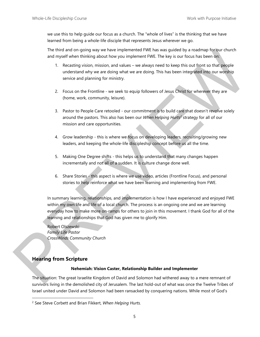we use this to help guide our focus as a church. The "whole of lives" is the thinking that we have learned from being a whole-life disciple that represents Jesus wherever we go.

The third and on-going way we have implemented FWE has was guided by a roadmap for our church and myself when thinking about how you implement FWE. The key is our focus has been on:

- 1. Recasting vision, mission, and values we always need to keep this out front so that people understand why we are doing what we are doing. This has been integrated into our worship service and planning for ministry.
- 2. Focus on the Frontline we seek to equip followers of Jesus Christ for wherever they are (home, work, community, leisure).
- 3. Pastor to People Care retooled our commitment is to build care that doesn't revolve solely around the pastors. This also has been our *When Helping Hurts<sup>2</sup>* strategy for all of our mission and care opportunities.
- 4. Grow leadership this is where we focus on developing leaders, recruiting/growing new leaders, and keeping the whole-life discipleship concept before us all the time.
- 5. Making One Degree shifts this helps us to understand that many changes happen incrementally and not all of a sudden. It is culture change done well.
- 6. Share Stories this aspect is where we use video, articles (Frontline Focus), and personal stories to help reinforce what we have been learning and implementing from FWE.

In summary learning, relationships, and implementation is how I have experienced and enjoyed FWE within my own life and life of a local church. The process is an ongoing one and we are learning everyday how to make more on-ramps for others to join in this movement. I thank God for all of the learning and relationships that God has given me to glorify Him. The thrid and an-genomy way have implemented? We have so guidel by a nondhost for another and mysel when this has no the mean through the studies that the studies the mean of values – we always need to keep this out forms

Robert Olszewski *Family Life Pastor CrossWinds Community Church* 

#### **Hearing from Scripture**

 $\overline{a}$ 

#### **Nehemiah: Vision Caster, Relationship Builder and Implementer**

The situation: The great Israelite Kingdom of David and Solomon had withered away to a mere remnant of survivors living in the demolished city of Jerusalem. The last hold-out of what was once the Twelve Tribes of Israel united under David and Solomon had been ransacked by conquering nations. While most of God's

<sup>2</sup> See Steve Corbett and Brian Fikkert, *When Helping Hurts.*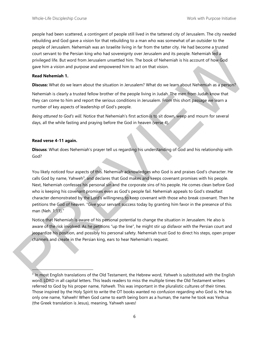people had been scattered, a contingent of people still lived in the tattered city of Jerusalem. The city needed rebuilding and God gave a vision for that rebuilding to a man who was somewhat of an outsider to the people of Jerusalem. Nehemiah was an Israelite living in far from the tatter city. He had become a trusted court servant to the Persian king who had sovereignty over Jerusalem and its people. Nehemiah led a privileged life. But word from Jerusalem unsettled him. The book of Nehemiah is his account of how God gave him a vision and purpose and empowered him to act on that vision.

#### **Read Nehemiah 1.**

**Discuss:** What do we learn about the situation in Jerusalem? What do we learn about Nehemiah as a person?

Nehemiah is clearly a trusted fellow brother of the people living in Judah. The men from Judah know that they can come to him and report the serious conditions in Jerusalem. From this short passage we learn a number of key aspects of leadership of God's people.

*Being attuned to God's will*. Notice that Nehemiah's first action is to sit down, weep and mourn for several days, all the while fasting and praying before the God in heaven (verse 4).

#### **Read verse 4-11 again.**

 $\overline{\phantom{a}}$ 

**Discuss**: What does Nehemiah's prayer tell us regarding his understanding of God and his relationship with God?

You likely noticed four aspects of this. Nehemiah acknowledges who God is and praises God's character. He calls God by name, Yahweh<sup>3</sup>, and declares that God makes and keeps covenant promises with his people. Next, Nehemiah confesses his personal sin and the corporate sins of his people. He comes clean before God who is keeping his covenant promises even as God's people fail. Nehemiah appeals to God's steadfast character demonstrated by the Lord's willingness to keep covenant with those who break covenant. Then he petitions the God of heaven. "Give your servant success today by granting him favor in the presence of this man (Neh. 1:11)." court server to the formula formula control in the book of the female in the studies of the state of the state of the state of the state of the state of the state of the state of the state of the state of the state of the

Notice that Nehemiah is aware of his personal potential to change the situation in Jerusalem. He also is aware of the risk involved. As he petitions "up the line", he might stir up disfavor with the Persian court and jeopardize his position, and possibly his personal safety. Nehemiah trust God to direct his steps, open proper channels and create in the Persian king, ears to hear Nehemiah's request.

<sup>3</sup> In most English translations of the Old Testament, the Hebrew word, *Yahweh* is substituted with the English word, LORD in all capital letters. This leads readers to miss the multiple times the Old Testament writers referred to God by his proper name, *Yahweh*. This was important in the pluralistic cultures of their times. Those inspired by the Holy Spirit to write the OT books wanted no confusion regarding who God is. He has only one name, Yahweh! When God came to earth being born as a human, the name he took was Yeshua (the Greek translation is Jesus), meaning, Yahweh saves!